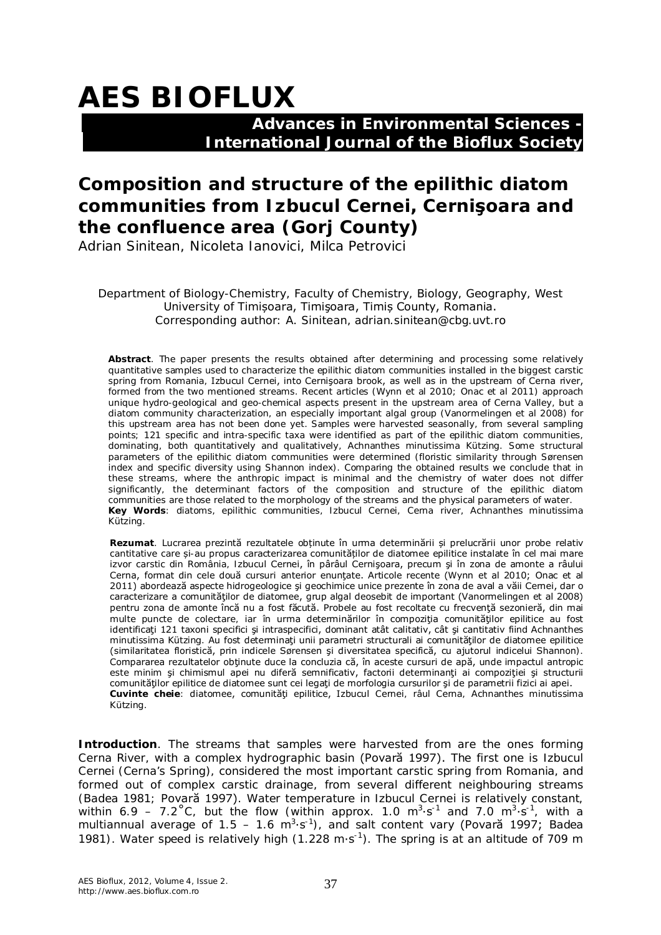# **AES BIOFLUX**

### **Advances in Environmental Sciences - International Journal of the Bioflux Society**

## **Composition and structure of the epilithic diatom communities from Izbucul Cernei, Cernişoara and the confluence area (Gorj County)**

Adrian Sinitean, Nicoleta Ianovici, Milca Petrovici

Department of Biology-Chemistry, Faculty of Chemistry, Biology, Geography, West University of Timișoara, Timişoara, Timiș County, Romania. Corresponding author: A. Sinitean, adrian.sinitean@cbg.uvt.ro

**Abstract**. The paper presents the results obtained after determining and processing some relatively quantitative samples used to characterize the epilithic diatom communities installed in the biggest carstic spring from Romania, Izbucul Cernei, into Cernişoara brook, as well as in the upstream of Cerna river, formed from the two mentioned streams. Recent articles (Wynn et al 2010; Onac et al 2011) approach unique hydro-geological and geo-chemical aspects present in the upstream area of Cerna Valley, but a diatom community characterization, an especially important algal group (Vanormelingen et al 2008) for this upstream area has not been done yet. Samples were harvested seasonally, from several sampling points; 121 specific and intra-specific taxa were identified as part of the epilithic diatom communities, dominating, both quantitatively and qualitatively, *Achnanthes minutissima* Kützing. Some structural parameters of the epilithic diatom communities were determined (floristic similarity through Sørensen index and specific diversity using Shannon index). Comparing the obtained results we conclude that in these streams, where the anthropic impact is minimal and the chemistry of water does not differ significantly, the determinant factors of the composition and structure of the epilithic diatom communities are those related to the morphology of the streams and the physical parameters of water. **Key Words**: diatoms, epilithic communities, Izbucul Cernei, Cerna river, *Achnanthes minutissima* Kützing.

**Rezumat**. Lucrarea prezintă rezultatele obținute în urma determinării și prelucrării unor probe relativ cantitative care și-au propus caracterizarea comunităților de diatomee epilitice instalate în cel mai mare izvor carstic din România, Izbucul Cernei, în pârâul Cernişoara, precum şi în zona de amonte a râului Cerna, format din cele două cursuri anterior enunţate. Articole recente (Wynn et al 2010; Onac et al 2011) abordează aspecte hidrogeologice şi geochimice unice prezente în zona de aval a văii Cernei, dar o caracterizare a comunităţilor de diatomee, grup algal deosebit de important (Vanormelingen et al 2008) pentru zona de amonte încă nu a fost făcută. Probele au fost recoltate cu frecventă sezonieră, din mai multe puncte de colectare, iar în urma determinărilor în compoziţia comunităţilor epilitice au fost identificaţi 121 taxoni specifici şi intraspecifici, dominant atât calitativ, cât şi cantitativ fiind *Achnanthes minutissima* Kützing. Au fost determinaţi unii parametri structurali ai comunităţilor de diatomee epilitice (similaritatea floristică, prin indicele Sørensen şi diversitatea specifică, cu ajutorul indicelui Shannon). Compararea rezultatelor obţinute duce la concluzia că, în aceste cursuri de apă, unde impactul antropic este minim şi chimismul apei nu diferă semnificativ, factorii determinanţi ai compoziţiei şi structurii comunităților epilitice de diatomee sunt cei legați de morfologia cursurilor și de parametrii fizici ai apei. **Cuvinte cheie**: diatomee, comunităţi epilitice, Izbucul Cernei, râul Cerna, *Achnanthes minutissima* Kützing.

**Introduction**. The streams that samples were harvested from are the ones forming Cerna River, with a complex hydrographic basin (Povară 1997). The first one is Izbucul Cernei (Cerna's Spring), considered the most important carstic spring from Romania, and formed out of complex carstic drainage, from several different neighbouring streams (Badea 1981; Povară 1997). Water temperature in Izbucul Cernei is relatively constant, within 6.9 – 7.2 $^{\circ}$ C, but the flow (within approx. 1.0 m<sup>3</sup>⋅s<sup>-1</sup> and 7.0 m<sup>3</sup>⋅s<sup>-1</sup>, with a multiannual average of 1.5 – 1.6  $m^3$ ·s<sup>-1</sup>), and salt content vary (Povară 1997; Badea 1981). Water speed is relatively high (1.228 m⋅s<sup>-1</sup>). The spring is at an altitude of 709 m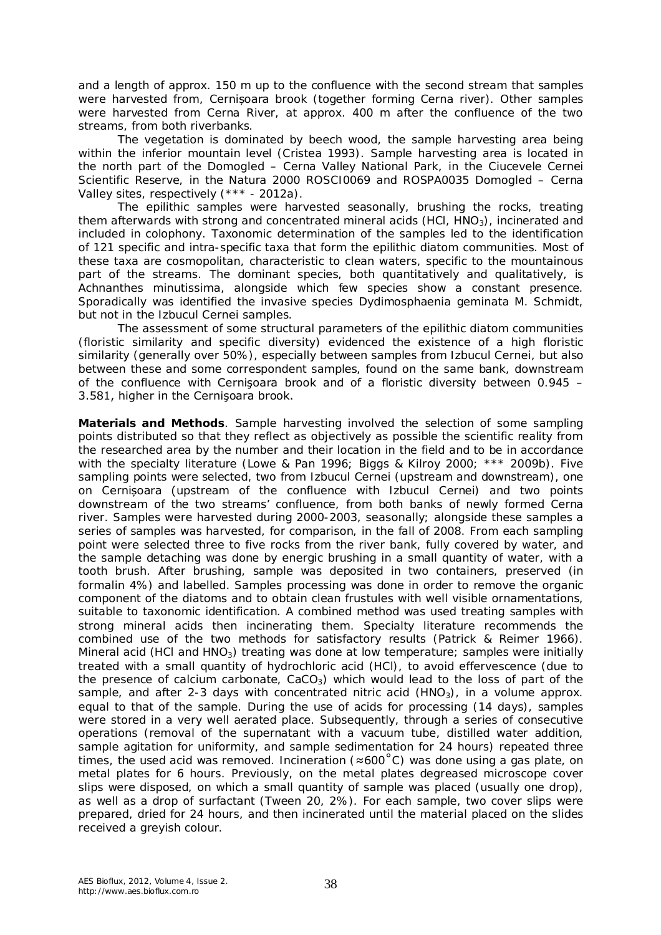and a length of approx. 150 m up to the confluence with the second stream that samples were harvested from, Cernișoara brook (together forming Cerna river). Other samples were harvested from Cerna River, at approx. 400 m after the confluence of the two streams, from both riverbanks.

The vegetation is dominated by beech wood, the sample harvesting area being within the inferior mountain level (Cristea 1993). Sample harvesting area is located in the north part of the Domogled – Cerna Valley National Park, in the Ciucevele Cernei Scientific Reserve, in the Natura 2000 ROSCI0069 and ROSPA0035 Domogled – Cerna Valley sites, respectively (\*\*\* - 2012a).

The epilithic samples were harvested seasonally, brushing the rocks, treating them afterwards with strong and concentrated mineral acids (HCl,  $HNO<sub>3</sub>$ ), incinerated and included in colophony. Taxonomic determination of the samples led to the identification of 121 specific and intra-specific taxa that form the epilithic diatom communities. Most of these taxa are cosmopolitan, characteristic to clean waters, specific to the mountainous part of the streams. The dominant species, both quantitatively and qualitatively, is *Achnanthes minutissima*, alongside which few species show a constant presence. Sporadically was identified the invasive species *Dydimosphaenia geminata* M. Schmidt, but not in the Izbucul Cernei samples.

The assessment of some structural parameters of the epilithic diatom communities (floristic similarity and specific diversity) evidenced the existence of a high floristic similarity (generally over 50%), especially between samples from Izbucul Cernei, but also between these and some correspondent samples, found on the same bank, downstream of the confluence with Cernişoara brook and of a floristic diversity between 0.945 – 3.581, higher in the Cernişoara brook.

**Materials and Methods**. Sample harvesting involved the selection of some sampling points distributed so that they reflect as objectively as possible the scientific reality from the researched area by the number and their location in the field and to be in accordance with the specialty literature (Lowe & Pan 1996; Biggs & Kilroy 2000; \*\*\* 2009b). Five sampling points were selected, two from Izbucul Cernei (upstream and downstream), one on Cernișoara (upstream of the confluence with Izbucul Cernei) and two points downstream of the two streams' confluence, from both banks of newly formed Cerna river. Samples were harvested during 2000-2003, seasonally; alongside these samples a series of samples was harvested, for comparison, in the fall of 2008. From each sampling point were selected three to five rocks from the river bank, fully covered by water, and the sample detaching was done by energic brushing in a small quantity of water, with a tooth brush. After brushing, sample was deposited in two containers, preserved (in formalin 4%) and labelled. Samples processing was done in order to remove the organic component of the diatoms and to obtain clean frustules with well visible ornamentations, suitable to taxonomic identification. A combined method was used treating samples with strong mineral acids then incinerating them. Specialty literature recommends the combined use of the two methods for satisfactory results (Patrick & Reimer 1966). Mineral acid (HCl and HNO $_3$ ) treating was done at low temperature; samples were initially treated with a small quantity of hydrochloric acid (HCl), to avoid effervescence (due to the presence of calcium carbonate,  $CaCO<sub>3</sub>$ ) which would lead to the loss of part of the sample, and after 2-3 days with concentrated nitric acid  $(HNO<sub>3</sub>)$ , in a volume approx. equal to that of the sample. During the use of acids for processing (14 days), samples were stored in a very well aerated place. Subsequently, through a series of consecutive operations (removal of the supernatant with a vacuum tube, distilled water addition, sample agitation for uniformity, and sample sedimentation for 24 hours) repeated three times, the used acid was removed. Incineration ( $\approx 600^{\circ}$ C) was done using a gas plate, on metal plates for 6 hours. Previously, on the metal plates degreased microscope cover slips were disposed, on which a small quantity of sample was placed (usually one drop), as well as a drop of surfactant (Tween 20, 2%). For each sample, two cover slips were prepared, dried for 24 hours, and then incinerated until the material placed on the slides received a greyish colour.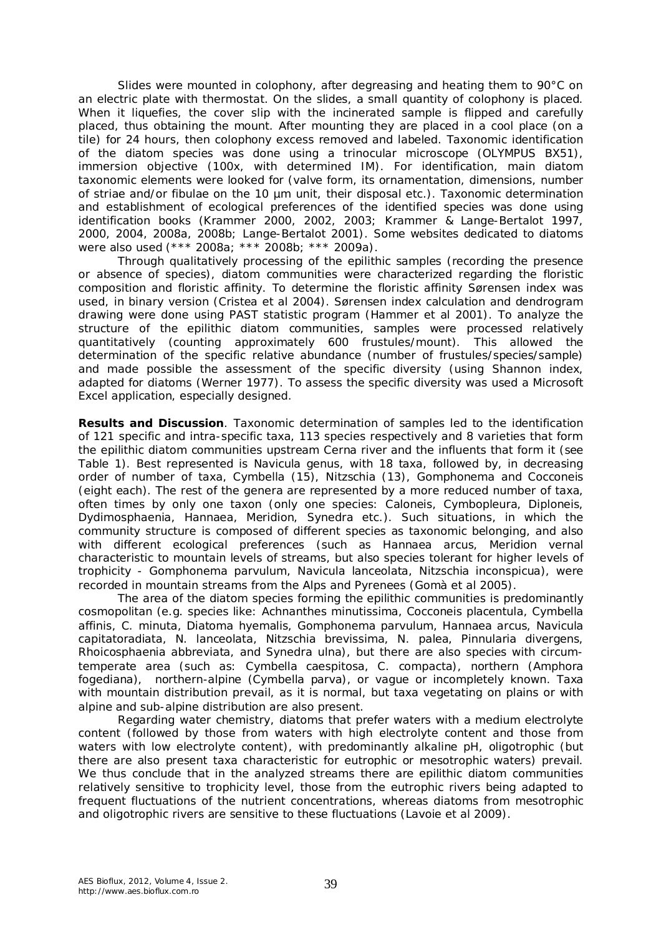Slides were mounted in colophony, after degreasing and heating them to 90°C on an electric plate with thermostat. On the slides, a small quantity of colophony is placed. When it liquefies, the cover slip with the incinerated sample is flipped and carefully placed, thus obtaining the mount. After mounting they are placed in a cool place (on a tile) for 24 hours, then colophony excess removed and labeled. Taxonomic identification of the diatom species was done using a trinocular microscope (OLYMPUS BX51), immersion objective (100x, with determined IM). For identification, main diatom taxonomic elements were looked for (valve form, its ornamentation, dimensions, number of striae and/or fibulae on the 10 µm unit, their disposal etc.). Taxonomic determination and establishment of ecological preferences of the identified species was done using identification books (Krammer 2000, 2002, 2003; Krammer & Lange-Bertalot 1997, 2000, 2004, 2008a, 2008b; Lange-Bertalot 2001). Some websites dedicated to diatoms were also used (\*\*\* 2008a; \*\*\* 2008b; \*\*\* 2009a).

Through qualitatively processing of the epilithic samples (recording the presence or absence of species), diatom communities were characterized regarding the floristic composition and floristic affinity. To determine the floristic affinity Sørensen index was used, in binary version (Cristea et al 2004). Sørensen index calculation and dendrogram drawing were done using PAST statistic program (Hammer et al 2001). To analyze the structure of the epilithic diatom communities, samples were processed relatively quantitatively (counting approximately 600 frustules/mount). This allowed the determination of the specific relative abundance (number of frustules/species/sample) and made possible the assessment of the specific diversity (using Shannon index, adapted for diatoms (Werner 1977). To assess the specific diversity was used a Microsoft Excel application, especially designed.

**Results and Discussion**. Taxonomic determination of samples led to the identification of 121 specific and intra-specific taxa, 113 species respectively and 8 varieties that form the epilithic diatom communities upstream Cerna river and the influents that form it (see Table 1). Best represented is *Navicula* genus, with 18 taxa, followed by, in decreasing order of number of taxa, *Cymbella* (15), *Nitzschia* (13), *Gomphonema* and *Cocconeis* (eight each). The rest of the genera are represented by a more reduced number of taxa, often times by only one taxon (only one species: *Caloneis, Cymbopleura, Diploneis, Dydimosphaenia, Hannaea, Meridion, Synedra etc.*). Such situations, in which the community structure is composed of different species as taxonomic belonging, and also with different ecological preferences (such as *Hannaea arcus*, *Meridion vernal*  characteristic to mountain levels of streams, but also species tolerant for higher levels of trophicity - *Gomphonema parvulum*, *Navicula lanceolata*, *Nitzschia inconspicua*), were recorded in mountain streams from the Alps and Pyrenees (Gomà et al 2005).

The area of the diatom species forming the epilithic communities is predominantly cosmopolitan (e.g. species like: *Achnanthes minutissima*, *Cocconeis placentula*, *Cymbella affinis*, *C. minuta*, *Diatoma hyemalis*, *Gomphonema parvulum*, *Hannaea arcus*, *Navicula capitatoradiata*, *N. lanceolata*, *Nitzschia brevissima*, *N. palea*, *Pinnularia divergens*, *Rhoicosphaenia abbreviata*, and *Synedra ulna*), but there are also species with circumtemperate area (such as: *Cymbella caespitosa*, *C. compacta*), northern (*Amphora fogediana*), northern-alpine (*Cymbella parva*), or vague or incompletely known. Taxa with mountain distribution prevail, as it is normal, but taxa vegetating on plains or with alpine and sub-alpine distribution are also present.

Regarding water chemistry, diatoms that prefer waters with a medium electrolyte content (followed by those from waters with high electrolyte content and those from waters with low electrolyte content), with predominantly alkaline pH, oligotrophic (but there are also present taxa characteristic for eutrophic or mesotrophic waters) prevail. We thus conclude that in the analyzed streams there are epilithic diatom communities relatively sensitive to trophicity level, those from the eutrophic rivers being adapted to frequent fluctuations of the nutrient concentrations, whereas diatoms from mesotrophic and oligotrophic rivers are sensitive to these fluctuations (Lavoie et al 2009).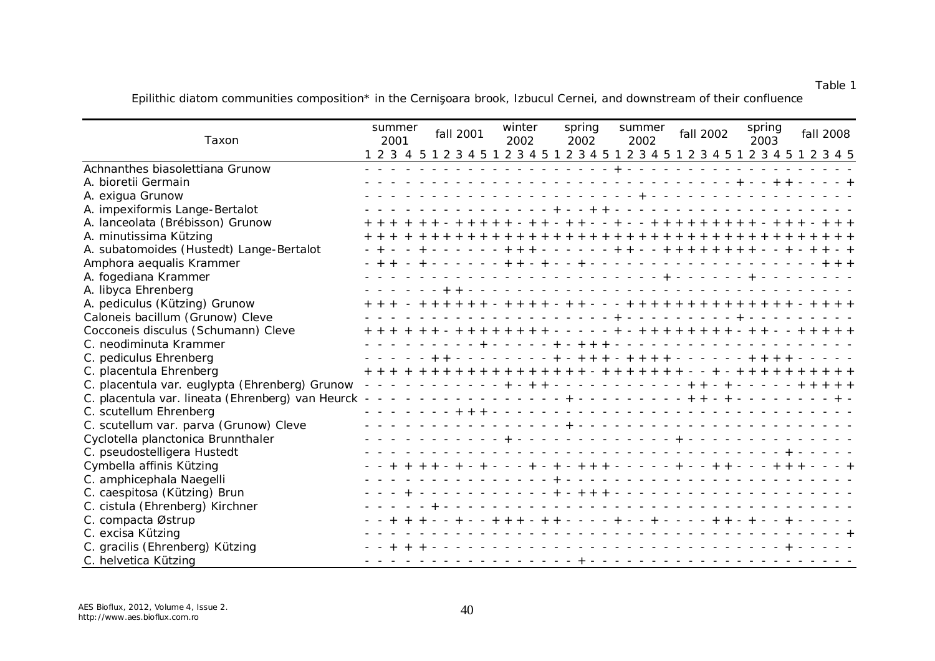Epilithic diatom communities composition\* in the Cernişoara brook, Izbucul Cernei, and downstream of their confluence

| Taxon                                               | summer | 2001 |  | fall 2001 |  |  | winter<br>2002 |  | spring | 2002                                                                                                                                                                                                                                                                                                                                                                                                                                                                       |       | summer<br>2002                                                                                                                                                                                                                                                                                                                                                                                                                                  |  |         |                   | fall 2002 |  | spring<br>2003                                    |  | fall 2008                                                                       |
|-----------------------------------------------------|--------|------|--|-----------|--|--|----------------|--|--------|----------------------------------------------------------------------------------------------------------------------------------------------------------------------------------------------------------------------------------------------------------------------------------------------------------------------------------------------------------------------------------------------------------------------------------------------------------------------------|-------|-------------------------------------------------------------------------------------------------------------------------------------------------------------------------------------------------------------------------------------------------------------------------------------------------------------------------------------------------------------------------------------------------------------------------------------------------|--|---------|-------------------|-----------|--|---------------------------------------------------|--|---------------------------------------------------------------------------------|
|                                                     |        |      |  |           |  |  |                |  |        |                                                                                                                                                                                                                                                                                                                                                                                                                                                                            |       |                                                                                                                                                                                                                                                                                                                                                                                                                                                 |  |         |                   |           |  |                                                   |  | 1 2 3 4 5 1 2 3 4 5 1 2 3 4 5 1 2 3 4 5 1 2 3 4 5 1 2 3 4 5 1 2 3 4 5 1 2 3 4 5 |
| Achnanthes biasolettiana Grunow                     |        |      |  |           |  |  |                |  |        |                                                                                                                                                                                                                                                                                                                                                                                                                                                                            |       |                                                                                                                                                                                                                                                                                                                                                                                                                                                 |  |         |                   |           |  |                                                   |  |                                                                                 |
| A. bioretii Germain                                 |        |      |  |           |  |  |                |  |        |                                                                                                                                                                                                                                                                                                                                                                                                                                                                            |       |                                                                                                                                                                                                                                                                                                                                                                                                                                                 |  |         |                   |           |  |                                                   |  |                                                                                 |
| A. exigua Grunow                                    |        |      |  |           |  |  |                |  |        |                                                                                                                                                                                                                                                                                                                                                                                                                                                                            |       |                                                                                                                                                                                                                                                                                                                                                                                                                                                 |  |         |                   |           |  |                                                   |  |                                                                                 |
| A. impexiformis Lange-Bertalot                      |        |      |  |           |  |  |                |  |        |                                                                                                                                                                                                                                                                                                                                                                                                                                                                            |       |                                                                                                                                                                                                                                                                                                                                                                                                                                                 |  |         |                   |           |  |                                                   |  |                                                                                 |
| A. lanceolata (Brébisson) Grunow                    |        |      |  |           |  |  |                |  |        |                                                                                                                                                                                                                                                                                                                                                                                                                                                                            |       |                                                                                                                                                                                                                                                                                                                                                                                                                                                 |  |         |                   |           |  | $+ + + + + + + + + + + + +$                       |  |                                                                                 |
| A. minutissima Kützing                              |        |      |  |           |  |  |                |  |        |                                                                                                                                                                                                                                                                                                                                                                                                                                                                            |       |                                                                                                                                                                                                                                                                                                                                                                                                                                                 |  |         |                   |           |  |                                                   |  |                                                                                 |
| A. subatomoides (Hustedt) Lange-Bertalot            |        |      |  |           |  |  |                |  |        |                                                                                                                                                                                                                                                                                                                                                                                                                                                                            | $\pm$ | $\pm$<br>$\sim$                                                                                                                                                                                                                                                                                                                                                                                                                                 |  | $+ + +$ |                   | $+ + +$   |  |                                                   |  |                                                                                 |
| Amphora aequalis Krammer                            |        |      |  |           |  |  |                |  |        |                                                                                                                                                                                                                                                                                                                                                                                                                                                                            |       |                                                                                                                                                                                                                                                                                                                                                                                                                                                 |  |         |                   |           |  |                                                   |  |                                                                                 |
| A. fogediana Krammer                                |        |      |  |           |  |  |                |  |        |                                                                                                                                                                                                                                                                                                                                                                                                                                                                            |       |                                                                                                                                                                                                                                                                                                                                                                                                                                                 |  |         |                   |           |  |                                                   |  |                                                                                 |
| A. libyca Ehrenberg                                 |        |      |  |           |  |  |                |  |        |                                                                                                                                                                                                                                                                                                                                                                                                                                                                            |       |                                                                                                                                                                                                                                                                                                                                                                                                                                                 |  |         |                   |           |  |                                                   |  |                                                                                 |
| A. pediculus (Kützing) Grunow                       |        |      |  |           |  |  |                |  |        |                                                                                                                                                                                                                                                                                                                                                                                                                                                                            |       |                                                                                                                                                                                                                                                                                                                                                                                                                                                 |  |         | $+ + + + + + + +$ |           |  |                                                   |  |                                                                                 |
| Caloneis bacillum (Grunow) Cleve                    |        |      |  |           |  |  |                |  |        |                                                                                                                                                                                                                                                                                                                                                                                                                                                                            |       |                                                                                                                                                                                                                                                                                                                                                                                                                                                 |  |         |                   |           |  |                                                   |  |                                                                                 |
| Cocconeis disculus (Schumann) Cleve                 |        |      |  |           |  |  |                |  |        |                                                                                                                                                                                                                                                                                                                                                                                                                                                                            |       |                                                                                                                                                                                                                                                                                                                                                                                                                                                 |  |         | $+ + + + + + +$   |           |  |                                                   |  |                                                                                 |
| C. neodiminuta Krammer                              |        |      |  |           |  |  |                |  |        |                                                                                                                                                                                                                                                                                                                                                                                                                                                                            |       |                                                                                                                                                                                                                                                                                                                                                                                                                                                 |  |         |                   |           |  |                                                   |  |                                                                                 |
| C. pediculus Ehrenberg                              |        |      |  |           |  |  |                |  |        |                                                                                                                                                                                                                                                                                                                                                                                                                                                                            |       |                                                                                                                                                                                                                                                                                                                                                                                                                                                 |  |         |                   |           |  | $+ + - + + + + + - - - - - - - + + + +$           |  |                                                                                 |
| C. placentula Ehrenberg                             |        |      |  |           |  |  |                |  |        |                                                                                                                                                                                                                                                                                                                                                                                                                                                                            |       | $+ + + + +$                                                                                                                                                                                                                                                                                                                                                                                                                                     |  |         |                   |           |  |                                                   |  |                                                                                 |
| C. placentula var. euglypta (Ehrenberg) Grunow      |        |      |  |           |  |  |                |  |        |                                                                                                                                                                                                                                                                                                                                                                                                                                                                            |       | $\frac{1}{2} \left( \begin{array}{ccc} 1 & 1 & 1 \\ 1 & 1 & 1 \end{array} \right) = \left( \begin{array}{ccc} 1 & 1 & 1 \\ 1 & 1 & 1 \end{array} \right) = \left( \begin{array}{ccc} 1 & 1 & 1 \\ 1 & 1 & 1 \end{array} \right) = \left( \begin{array}{ccc} 1 & 1 & 1 \\ 1 & 1 & 1 \end{array} \right) = \left( \begin{array}{ccc} 1 & 1 & 1 \\ 1 & 1 & 1 \end{array} \right) = \left( \begin{array}{ccc} 1 & 1 & 1 \\ 1 & 1 & 1 \end{array} \$ |  |         |                   |           |  |                                                   |  |                                                                                 |
| C. placentula var. lineata (Ehrenberg) van Heurck - |        |      |  |           |  |  |                |  |        | $\frac{1}{2} \left( \frac{1}{2} \right) \left( \frac{1}{2} \right) \left( \frac{1}{2} \right) \left( \frac{1}{2} \right) \left( \frac{1}{2} \right) \left( \frac{1}{2} \right) \left( \frac{1}{2} \right) \left( \frac{1}{2} \right) \left( \frac{1}{2} \right) \left( \frac{1}{2} \right) \left( \frac{1}{2} \right) \left( \frac{1}{2} \right) \left( \frac{1}{2} \right) \left( \frac{1}{2} \right) \left( \frac{1}{2} \right) \left( \frac{1}{2} \right) \left( \frac$ |       |                                                                                                                                                                                                                                                                                                                                                                                                                                                 |  |         |                   |           |  |                                                   |  |                                                                                 |
| C. scutellum Ehrenberg                              |        |      |  |           |  |  |                |  |        |                                                                                                                                                                                                                                                                                                                                                                                                                                                                            |       |                                                                                                                                                                                                                                                                                                                                                                                                                                                 |  |         |                   |           |  |                                                   |  |                                                                                 |
| C. scutellum var. parva (Grunow) Cleve              |        |      |  |           |  |  |                |  |        |                                                                                                                                                                                                                                                                                                                                                                                                                                                                            |       |                                                                                                                                                                                                                                                                                                                                                                                                                                                 |  |         |                   |           |  |                                                   |  |                                                                                 |
| Cyclotella planctonica Brunnthaler                  |        |      |  |           |  |  |                |  |        |                                                                                                                                                                                                                                                                                                                                                                                                                                                                            |       |                                                                                                                                                                                                                                                                                                                                                                                                                                                 |  |         |                   |           |  |                                                   |  |                                                                                 |
| C. pseudostelligera Hustedt                         |        |      |  |           |  |  |                |  |        |                                                                                                                                                                                                                                                                                                                                                                                                                                                                            |       |                                                                                                                                                                                                                                                                                                                                                                                                                                                 |  |         |                   |           |  |                                                   |  |                                                                                 |
| Cymbella affinis Kützing                            |        |      |  |           |  |  |                |  |        |                                                                                                                                                                                                                                                                                                                                                                                                                                                                            |       |                                                                                                                                                                                                                                                                                                                                                                                                                                                 |  |         |                   |           |  | + - + - + + + - - - - - + - - + + - - - + +       |  |                                                                                 |
| C. amphicephala Naegelli                            |        |      |  |           |  |  |                |  |        |                                                                                                                                                                                                                                                                                                                                                                                                                                                                            |       |                                                                                                                                                                                                                                                                                                                                                                                                                                                 |  |         |                   |           |  |                                                   |  |                                                                                 |
| C. caespitosa (Kützing) Brun                        |        |      |  |           |  |  |                |  |        |                                                                                                                                                                                                                                                                                                                                                                                                                                                                            |       |                                                                                                                                                                                                                                                                                                                                                                                                                                                 |  |         |                   |           |  |                                                   |  |                                                                                 |
| C. cistula (Ehrenberg) Kirchner                     |        |      |  |           |  |  |                |  |        |                                                                                                                                                                                                                                                                                                                                                                                                                                                                            |       |                                                                                                                                                                                                                                                                                                                                                                                                                                                 |  |         |                   |           |  | .                                                 |  |                                                                                 |
| C. compacta Østrup                                  |        |      |  |           |  |  |                |  |        |                                                                                                                                                                                                                                                                                                                                                                                                                                                                            |       |                                                                                                                                                                                                                                                                                                                                                                                                                                                 |  |         |                   |           |  | + + + - + + - - - - + - - + - - - - + + - + - - + |  |                                                                                 |
| C. excisa Kützing                                   |        |      |  |           |  |  |                |  |        |                                                                                                                                                                                                                                                                                                                                                                                                                                                                            |       |                                                                                                                                                                                                                                                                                                                                                                                                                                                 |  |         |                   |           |  |                                                   |  |                                                                                 |
| C. gracilis (Ehrenberg) Kützing                     |        |      |  |           |  |  |                |  |        |                                                                                                                                                                                                                                                                                                                                                                                                                                                                            |       |                                                                                                                                                                                                                                                                                                                                                                                                                                                 |  |         |                   |           |  |                                                   |  |                                                                                 |
| C. helvetica Kützing                                |        |      |  |           |  |  |                |  |        |                                                                                                                                                                                                                                                                                                                                                                                                                                                                            |       |                                                                                                                                                                                                                                                                                                                                                                                                                                                 |  |         |                   |           |  |                                                   |  |                                                                                 |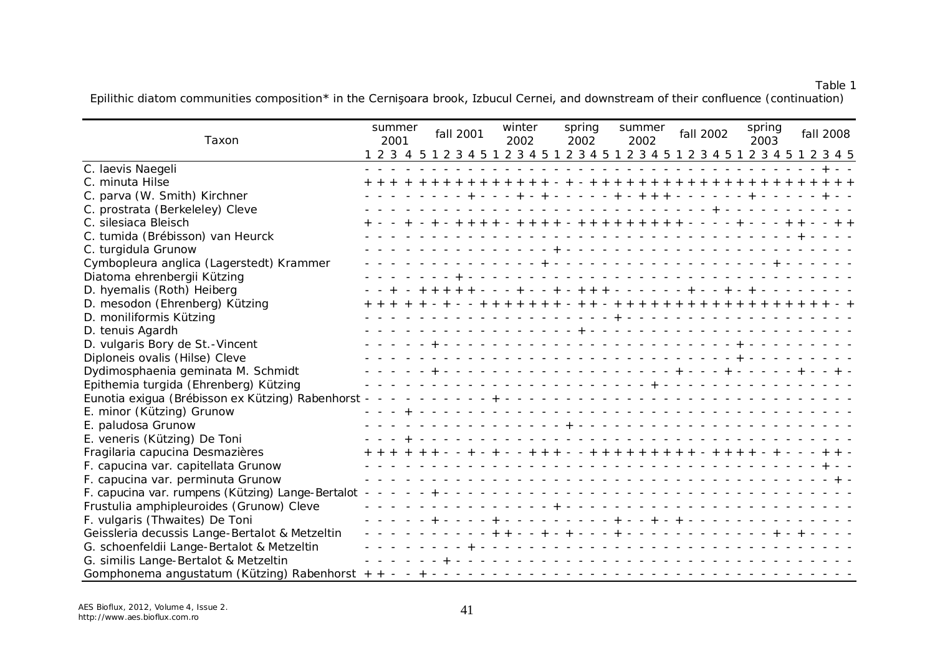Epilithic diatom communities composition\* in the Cernişoara brook, Izbucul Cernei, and downstream of their confluence (continuation)

| Taxon                                               | summer<br>2001 |  |  | fall 2001 |  |  | winter<br>2002 |  | spring<br>2002 |  | summer<br>2002 |  |  | fall 2002 |  | spring<br>2003                                                                  |  | fall 2008 |  |
|-----------------------------------------------------|----------------|--|--|-----------|--|--|----------------|--|----------------|--|----------------|--|--|-----------|--|---------------------------------------------------------------------------------|--|-----------|--|
|                                                     |                |  |  |           |  |  |                |  |                |  |                |  |  |           |  | 1 2 3 4 5 1 2 3 4 5 1 2 3 4 5 1 2 3 4 5 1 2 3 4 5 1 2 3 4 5 1 2 3 4 5 1 2 3 4 5 |  |           |  |
| C. laevis Naegeli                                   |                |  |  |           |  |  |                |  |                |  |                |  |  |           |  |                                                                                 |  |           |  |
| C. minuta Hilse                                     |                |  |  |           |  |  |                |  |                |  |                |  |  |           |  |                                                                                 |  |           |  |
| C. parva (W. Smith) Kirchner                        |                |  |  |           |  |  |                |  |                |  |                |  |  |           |  | - + - - - + - + - - - - - + - + + + - - - - - + - - - - - - -                   |  |           |  |
| C. prostrata (Berkeleley) Cleve                     |                |  |  |           |  |  |                |  | .              |  |                |  |  |           |  |                                                                                 |  |           |  |
| C. silesiaca Bleisch                                |                |  |  |           |  |  |                |  |                |  |                |  |  |           |  |                                                                                 |  |           |  |
| C. tumida (Brébisson) van Heurck                    |                |  |  |           |  |  |                |  |                |  |                |  |  |           |  |                                                                                 |  |           |  |
| C. turgidula Grunow                                 |                |  |  |           |  |  |                |  |                |  |                |  |  |           |  |                                                                                 |  |           |  |
| Cymbopleura anglica (Lagerstedt) Krammer            |                |  |  |           |  |  |                |  |                |  |                |  |  |           |  |                                                                                 |  |           |  |
| Diatoma ehrenbergii Kützing                         |                |  |  |           |  |  |                |  |                |  |                |  |  |           |  |                                                                                 |  |           |  |
| D. hyemalis (Roth) Heiberg                          |                |  |  |           |  |  |                |  |                |  |                |  |  |           |  |                                                                                 |  |           |  |
| D. mesodon (Ehrenberg) Kützing                      |                |  |  |           |  |  |                |  |                |  |                |  |  |           |  |                                                                                 |  |           |  |
| D. moniliformis Kützing                             |                |  |  |           |  |  |                |  |                |  |                |  |  |           |  |                                                                                 |  |           |  |
| D. tenuis Agardh                                    |                |  |  |           |  |  |                |  |                |  |                |  |  |           |  |                                                                                 |  |           |  |
| D. vulgaris Bory de St.-Vincent                     |                |  |  |           |  |  |                |  |                |  |                |  |  |           |  |                                                                                 |  |           |  |
| Diploneis ovalis (Hilse) Cleve                      |                |  |  |           |  |  |                |  |                |  |                |  |  |           |  |                                                                                 |  |           |  |
| Dydimosphaenia geminata M. Schmidt                  |                |  |  |           |  |  |                |  |                |  |                |  |  |           |  |                                                                                 |  |           |  |
| Epithemia turgida (Ehrenberg) Kützing               |                |  |  |           |  |  |                |  |                |  |                |  |  |           |  |                                                                                 |  |           |  |
| Eunotia exigua (Brébisson ex Kützing) Rabenhorst -  |                |  |  |           |  |  |                |  |                |  |                |  |  |           |  |                                                                                 |  |           |  |
| E. minor (Kützing) Grunow                           |                |  |  |           |  |  |                |  |                |  |                |  |  |           |  |                                                                                 |  |           |  |
| E. paludosa Grunow                                  |                |  |  |           |  |  |                |  |                |  |                |  |  |           |  |                                                                                 |  |           |  |
| E. veneris (Kützing) De Toni                        |                |  |  |           |  |  |                |  |                |  |                |  |  |           |  |                                                                                 |  |           |  |
| Fragilaria capucina Desmazières                     |                |  |  |           |  |  |                |  |                |  |                |  |  |           |  | - + - - + + + - - + + + + + + + + + - + + + + - + - - - + + -                   |  |           |  |
| F. capucina var. capitellata Grunow                 |                |  |  |           |  |  |                |  |                |  |                |  |  |           |  |                                                                                 |  |           |  |
| F. capucina var. perminuta Grunow                   |                |  |  |           |  |  |                |  |                |  |                |  |  |           |  |                                                                                 |  |           |  |
| F. capucina var. rumpens (Kützing) Lange-Bertalot - |                |  |  |           |  |  |                |  |                |  |                |  |  |           |  |                                                                                 |  |           |  |
| Frustulia amphipleuroides (Grunow) Cleve            |                |  |  |           |  |  |                |  |                |  |                |  |  |           |  |                                                                                 |  |           |  |
| F. vulgaris (Thwaites) De Toni                      |                |  |  |           |  |  |                |  |                |  |                |  |  |           |  |                                                                                 |  |           |  |
| Geissleria decussis Lange-Bertalot & Metzeltin      |                |  |  |           |  |  |                |  |                |  |                |  |  |           |  |                                                                                 |  |           |  |
| G. schoenfeldii Lange-Bertalot & Metzeltin          |                |  |  |           |  |  |                |  |                |  |                |  |  |           |  |                                                                                 |  |           |  |
| G. similis Lange-Bertalot & Metzeltin               |                |  |  |           |  |  |                |  |                |  |                |  |  |           |  |                                                                                 |  |           |  |
|                                                     |                |  |  |           |  |  |                |  |                |  |                |  |  |           |  |                                                                                 |  |           |  |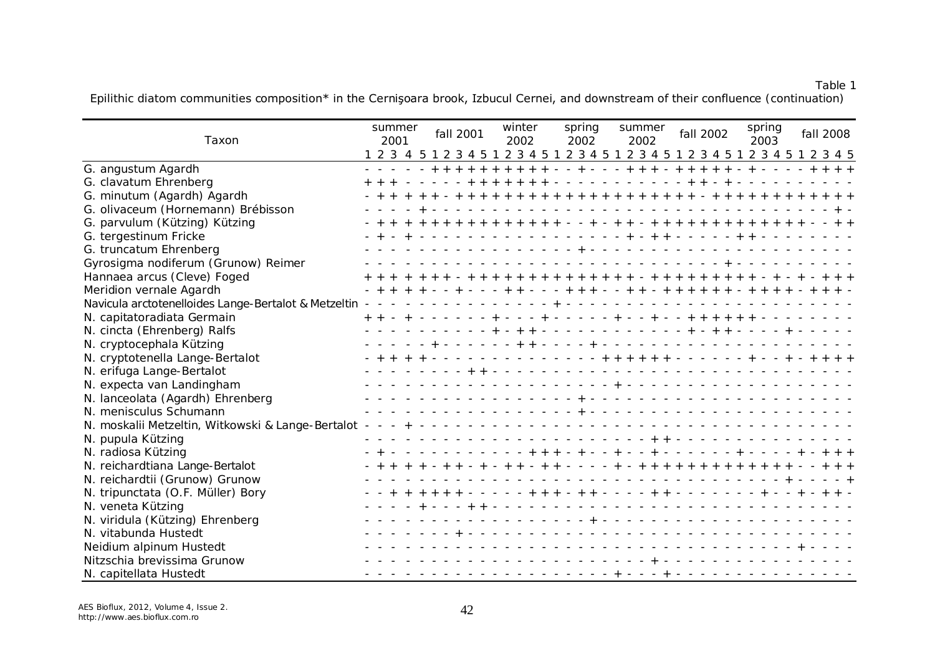Epilithic diatom communities composition\* in the Cernişoara brook, Izbucul Cernei, and downstream of their confluence (continuation)

| Taxon                                                | summer | 2001 |  |  | fall 2001 |  |  | winter<br>2002 |  | spring<br>2002        |  | 2002 | summer |  | fall 2002 |                                           |  | spring<br>2003                                                                                                                                                                                                                                                                                                                                                                                      |                                                                                 | fall 2008 |  |
|------------------------------------------------------|--------|------|--|--|-----------|--|--|----------------|--|-----------------------|--|------|--------|--|-----------|-------------------------------------------|--|-----------------------------------------------------------------------------------------------------------------------------------------------------------------------------------------------------------------------------------------------------------------------------------------------------------------------------------------------------------------------------------------------------|---------------------------------------------------------------------------------|-----------|--|
|                                                      |        |      |  |  |           |  |  |                |  |                       |  |      |        |  |           |                                           |  |                                                                                                                                                                                                                                                                                                                                                                                                     | 1 2 3 4 5 1 2 3 4 5 1 2 3 4 5 1 2 3 4 5 1 2 3 4 5 1 2 3 4 5 1 2 3 4 5 1 2 3 4 5 |           |  |
| G. angustum Agardh                                   |        |      |  |  |           |  |  |                |  |                       |  |      |        |  |           |                                           |  |                                                                                                                                                                                                                                                                                                                                                                                                     |                                                                                 |           |  |
| G. clavatum Ehrenberg                                |        |      |  |  |           |  |  |                |  |                       |  |      |        |  |           |                                           |  |                                                                                                                                                                                                                                                                                                                                                                                                     |                                                                                 |           |  |
| G. minutum (Agardh) Agardh                           |        |      |  |  |           |  |  |                |  | $+ + + + + + + + + +$ |  |      |        |  |           |                                           |  |                                                                                                                                                                                                                                                                                                                                                                                                     |                                                                                 |           |  |
| G. olivaceum (Hornemann) Brébisson                   |        |      |  |  |           |  |  |                |  |                       |  |      |        |  |           |                                           |  |                                                                                                                                                                                                                                                                                                                                                                                                     |                                                                                 |           |  |
| G. parvulum (Kützing) Kützing                        |        |      |  |  |           |  |  |                |  |                       |  |      |        |  |           |                                           |  |                                                                                                                                                                                                                                                                                                                                                                                                     |                                                                                 |           |  |
| G. tergestinum Fricke                                |        |      |  |  |           |  |  |                |  |                       |  |      |        |  |           |                                           |  |                                                                                                                                                                                                                                                                                                                                                                                                     |                                                                                 |           |  |
| G. truncatum Ehrenberg                               |        |      |  |  |           |  |  |                |  |                       |  |      |        |  |           |                                           |  |                                                                                                                                                                                                                                                                                                                                                                                                     |                                                                                 |           |  |
| Gyrosigma nodiferum (Grunow) Reimer                  |        |      |  |  |           |  |  |                |  |                       |  |      |        |  |           |                                           |  |                                                                                                                                                                                                                                                                                                                                                                                                     |                                                                                 |           |  |
| Hannaea arcus (Cleve) Foged                          |        |      |  |  |           |  |  |                |  |                       |  |      |        |  |           |                                           |  |                                                                                                                                                                                                                                                                                                                                                                                                     |                                                                                 |           |  |
| Meridion vernale Agardh                              |        |      |  |  |           |  |  |                |  |                       |  |      |        |  |           | - - + + + - - + + - + + + + + +           |  |                                                                                                                                                                                                                                                                                                                                                                                                     |                                                                                 |           |  |
| Navicula arctotenelloides Lange-Bertalot & Metzeltin |        |      |  |  |           |  |  |                |  |                       |  |      |        |  |           |                                           |  |                                                                                                                                                                                                                                                                                                                                                                                                     |                                                                                 |           |  |
| N. capitatoradiata Germain                           |        |      |  |  |           |  |  |                |  |                       |  |      |        |  |           |                                           |  | + - - - - - + - - + - - + + + + + + - - - -                                                                                                                                                                                                                                                                                                                                                         |                                                                                 |           |  |
| N. cincta (Ehrenberg) Ralfs                          |        |      |  |  |           |  |  |                |  |                       |  |      |        |  |           |                                           |  |                                                                                                                                                                                                                                                                                                                                                                                                     |                                                                                 |           |  |
| N. cryptocephala Kützing                             |        |      |  |  |           |  |  |                |  |                       |  |      |        |  |           |                                           |  |                                                                                                                                                                                                                                                                                                                                                                                                     |                                                                                 |           |  |
| N. cryptotenella Lange-Bertalot                      |        |      |  |  |           |  |  |                |  |                       |  |      |        |  |           |                                           |  | - - - + + + + + + - - - - - - + - - + -                                                                                                                                                                                                                                                                                                                                                             |                                                                                 |           |  |
| N. erifuga Lange-Bertalot                            |        |      |  |  |           |  |  |                |  |                       |  |      |        |  |           |                                           |  | rendere della rendere di directore di di                                                                                                                                                                                                                                                                                                                                                            |                                                                                 |           |  |
| N. expecta van Landingham                            |        |      |  |  |           |  |  |                |  |                       |  |      |        |  |           |                                           |  |                                                                                                                                                                                                                                                                                                                                                                                                     |                                                                                 |           |  |
| N. lanceolata (Agardh) Ehrenberg                     |        |      |  |  |           |  |  |                |  |                       |  |      |        |  |           |                                           |  |                                                                                                                                                                                                                                                                                                                                                                                                     |                                                                                 |           |  |
| N. menisculus Schumann                               |        |      |  |  |           |  |  |                |  |                       |  |      |        |  |           |                                           |  |                                                                                                                                                                                                                                                                                                                                                                                                     |                                                                                 |           |  |
| N. moskalii Metzeltin, Witkowski & Lange-Bertalot -  |        |      |  |  |           |  |  |                |  |                       |  |      |        |  |           |                                           |  |                                                                                                                                                                                                                                                                                                                                                                                                     |                                                                                 |           |  |
| N. pupula Kützing                                    |        |      |  |  |           |  |  |                |  |                       |  |      |        |  |           |                                           |  | $\frac{1}{2} \frac{1}{2} + \frac{1}{2} + \frac{1}{2} + \frac{1}{2} + \frac{1}{2} + \frac{1}{2} + \frac{1}{2} + \frac{1}{2} + \frac{1}{2} + \frac{1}{2} + \frac{1}{2} + \frac{1}{2} + \frac{1}{2} + \frac{1}{2} + \frac{1}{2} + \frac{1}{2} + \frac{1}{2} + \frac{1}{2} + \frac{1}{2} + \frac{1}{2} + \frac{1}{2} + \frac{1}{2} + \frac{1}{2} + \frac{1}{2} + \frac{1}{2} + \frac{1}{2} + \frac{1}{$ |                                                                                 |           |  |
| N. radiosa Kützing                                   |        |      |  |  |           |  |  |                |  |                       |  |      |        |  |           | $+ + + - + - - + - - - + - - - - - - - -$ |  |                                                                                                                                                                                                                                                                                                                                                                                                     |                                                                                 |           |  |
| N. reichardtiana Lange-Bertalot                      |        |      |  |  |           |  |  |                |  |                       |  |      |        |  |           | $-$ - + - + + + + + + + + + +             |  |                                                                                                                                                                                                                                                                                                                                                                                                     |                                                                                 |           |  |
| N. reichardtii (Grunow) Grunow                       |        |      |  |  |           |  |  |                |  |                       |  |      |        |  |           |                                           |  |                                                                                                                                                                                                                                                                                                                                                                                                     |                                                                                 |           |  |
| N. tripunctata (O.F. Müller) Bory                    |        |      |  |  |           |  |  |                |  |                       |  |      |        |  |           |                                           |  |                                                                                                                                                                                                                                                                                                                                                                                                     |                                                                                 |           |  |
| N. veneta Kützing                                    |        |      |  |  |           |  |  |                |  |                       |  |      |        |  |           |                                           |  |                                                                                                                                                                                                                                                                                                                                                                                                     |                                                                                 |           |  |
| N. viridula (Kützing) Ehrenberg                      |        |      |  |  |           |  |  |                |  |                       |  |      |        |  |           |                                           |  |                                                                                                                                                                                                                                                                                                                                                                                                     |                                                                                 |           |  |
| N. vitabunda Hustedt                                 |        |      |  |  |           |  |  |                |  |                       |  |      |        |  |           |                                           |  |                                                                                                                                                                                                                                                                                                                                                                                                     |                                                                                 |           |  |
| Neidium alpinum Hustedt                              |        |      |  |  |           |  |  |                |  |                       |  |      |        |  |           |                                           |  |                                                                                                                                                                                                                                                                                                                                                                                                     |                                                                                 |           |  |
| Nitzschia brevissima Grunow                          |        |      |  |  |           |  |  |                |  |                       |  |      |        |  |           |                                           |  |                                                                                                                                                                                                                                                                                                                                                                                                     |                                                                                 |           |  |
| N. capitellata Hustedt                               |        |      |  |  |           |  |  |                |  |                       |  |      |        |  |           |                                           |  |                                                                                                                                                                                                                                                                                                                                                                                                     |                                                                                 |           |  |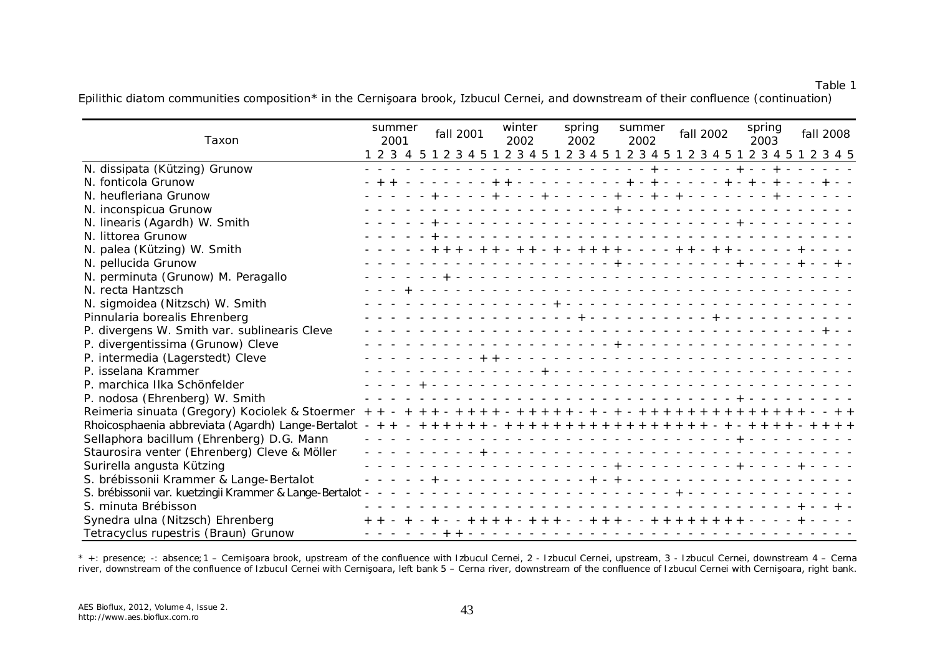Epilithic diatom communities composition\* in the Cernişoara brook, Izbucul Cernei, and downstream of their confluence (continuation)

| Taxon                                                     |            | summer<br>2001 |  | fall 2001 |  | 2002 | winter |  | spring<br>2002                          |  | 2002 | summer |  | fall 2002 |  | spring<br>2003                                          |  | fall 2008                                                                       |
|-----------------------------------------------------------|------------|----------------|--|-----------|--|------|--------|--|-----------------------------------------|--|------|--------|--|-----------|--|---------------------------------------------------------|--|---------------------------------------------------------------------------------|
|                                                           |            |                |  |           |  |      |        |  |                                         |  |      |        |  |           |  |                                                         |  | 1 2 3 4 5 1 2 3 4 5 1 2 3 4 5 1 2 3 4 5 1 2 3 4 5 1 2 3 4 5 1 2 3 4 5 1 2 3 4 5 |
| N. dissipata (Kützing) Grunow                             |            |                |  |           |  |      |        |  |                                         |  |      |        |  |           |  |                                                         |  |                                                                                 |
| N. fonticola Grunow                                       |            |                |  |           |  |      |        |  |                                         |  |      |        |  |           |  | ------ <del>---------------------------</del>           |  |                                                                                 |
| N. heufleriana Grunow                                     |            |                |  |           |  |      |        |  |                                         |  |      |        |  |           |  | - - + - - - + - - - - - + - - + - + - - - - - - - +     |  |                                                                                 |
| N. inconspicua Grunow                                     |            |                |  |           |  |      |        |  |                                         |  |      |        |  |           |  |                                                         |  |                                                                                 |
| N. linearis (Agardh) W. Smith                             |            |                |  |           |  |      |        |  |                                         |  |      |        |  |           |  |                                                         |  |                                                                                 |
| N. littorea Grunow                                        |            |                |  |           |  |      |        |  |                                         |  |      |        |  |           |  |                                                         |  |                                                                                 |
| N. palea (Kützing) W. Smith                               |            |                |  |           |  |      |        |  |                                         |  |      |        |  |           |  | - + + - + + - + - + + + + - - - - + + - + + - - - - - + |  |                                                                                 |
| N. pellucida Grunow                                       |            |                |  |           |  |      |        |  |                                         |  |      |        |  |           |  |                                                         |  |                                                                                 |
| N. perminuta (Grunow) M. Peragallo                        |            |                |  |           |  |      |        |  |                                         |  |      |        |  |           |  |                                                         |  |                                                                                 |
| N. recta Hantzsch                                         |            |                |  |           |  |      |        |  |                                         |  |      |        |  |           |  |                                                         |  |                                                                                 |
| N. sigmoidea (Nitzsch) W. Smith                           |            |                |  |           |  |      |        |  |                                         |  |      |        |  |           |  |                                                         |  |                                                                                 |
| Pinnularia borealis Ehrenberg                             |            |                |  |           |  |      |        |  |                                         |  |      |        |  |           |  |                                                         |  |                                                                                 |
| P. divergens W. Smith var. sublinearis Cleve              |            |                |  |           |  |      |        |  |                                         |  |      |        |  |           |  |                                                         |  |                                                                                 |
| P. divergentissima (Grunow) Cleve                         |            |                |  |           |  |      |        |  |                                         |  |      |        |  |           |  |                                                         |  |                                                                                 |
| P. intermedia (Lagerstedt) Cleve                          |            |                |  |           |  |      |        |  |                                         |  |      |        |  |           |  |                                                         |  |                                                                                 |
| P. isselana Krammer                                       |            |                |  |           |  |      |        |  |                                         |  |      |        |  |           |  |                                                         |  |                                                                                 |
| P. marchica Ilka Schönfelder                              |            |                |  |           |  |      |        |  |                                         |  |      |        |  | .         |  |                                                         |  |                                                                                 |
| P. nodosa (Ehrenberg) W. Smith                            |            |                |  |           |  |      |        |  |                                         |  |      |        |  |           |  |                                                         |  |                                                                                 |
| Reimeria sinuata (Gregory) Kociolek & Stoermer            | $+$<br>$+$ |                |  |           |  |      |        |  |                                         |  |      |        |  |           |  |                                                         |  | + + - + + + + - + + + + + - + - + - + + + + + + + + + + + + + + - - + +         |
| Rhoicosphaenia abbreviata (Agardh) Lange-Bertalot         |            |                |  |           |  |      |        |  |                                         |  |      |        |  |           |  |                                                         |  |                                                                                 |
| Sellaphora bacillum (Ehrenberg) D.G. Mann                 |            |                |  |           |  |      |        |  | rana na kama na kama na kama na ka      |  |      |        |  |           |  |                                                         |  |                                                                                 |
| Staurosira venter (Ehrenberg) Cleve & Möller              |            |                |  |           |  |      |        |  | dia dia 1970 any kaominina dia 49.000 k |  |      |        |  |           |  |                                                         |  |                                                                                 |
| Surirella angusta Kützing                                 |            |                |  |           |  |      |        |  |                                         |  |      |        |  |           |  |                                                         |  |                                                                                 |
| S. brébissonii Krammer & Lange-Bertalot                   |            |                |  |           |  |      |        |  |                                         |  |      |        |  |           |  |                                                         |  |                                                                                 |
| S. brébissonii var. kuetzingii Krammer & Lange-Bertalot - |            |                |  |           |  |      |        |  |                                         |  |      |        |  |           |  |                                                         |  |                                                                                 |
| S. minuta Brébisson                                       |            |                |  |           |  |      |        |  |                                         |  |      |        |  |           |  |                                                         |  |                                                                                 |
| Synedra ulna (Nitzsch) Ehrenberg                          |            |                |  |           |  |      |        |  |                                         |  |      |        |  |           |  |                                                         |  |                                                                                 |
| Tetracyclus rupestris (Braun) Grunow                      |            |                |  |           |  |      |        |  |                                         |  |      |        |  |           |  |                                                         |  |                                                                                 |

\* +: presence; -: absence;1 – Cernişoara brook, upstream of the confluence with Izbucul Cernei, 2 - Izbucul Cernei, upstream, 3 - Izbucul Cernei, downstream 4 – Cerna river, downstream of the confluence of Izbucul Cernei with Cernişoara, left bank 5 – Cerna river, downstream of the confluence of Izbucul Cernei with Cernisoara, right bank.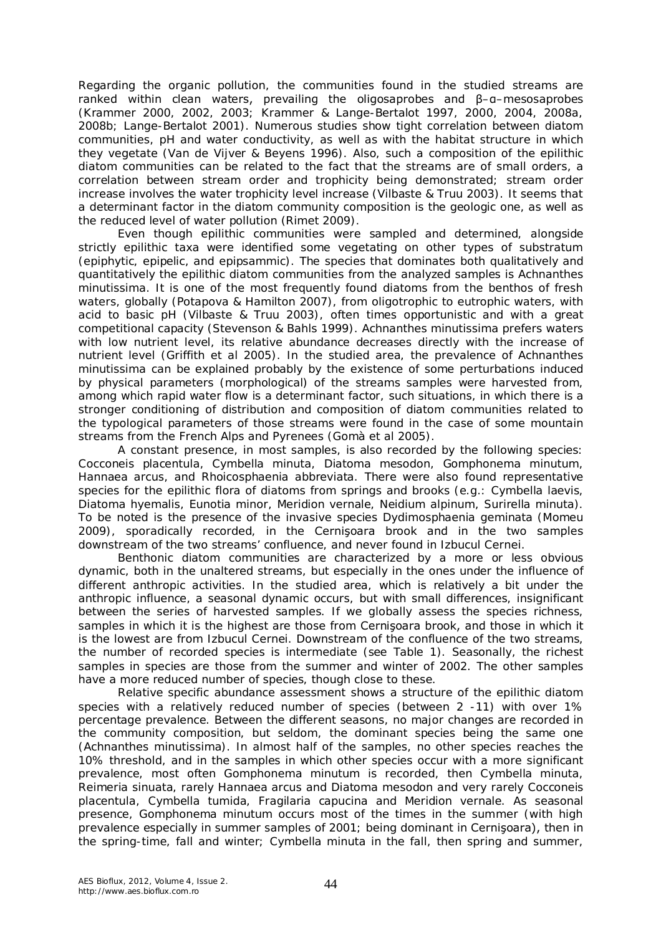Regarding the organic pollution, the communities found in the studied streams are ranked within clean waters, prevailing the oligosaprobes and β–α–mesosaprobes (Krammer 2000, 2002, 2003; Krammer & Lange-Bertalot 1997, 2000, 2004, 2008a, 2008b; Lange-Bertalot 2001). Numerous studies show tight correlation between diatom communities, pH and water conductivity, as well as with the habitat structure in which they vegetate (Van de Vijver & Beyens 1996). Also, such a composition of the epilithic diatom communities can be related to the fact that the streams are of small orders, a correlation between stream order and trophicity being demonstrated; stream order increase involves the water trophicity level increase (Vilbaste & Truu 2003). It seems that a determinant factor in the diatom community composition is the geologic one, as well as the reduced level of water pollution (Rimet 2009).

Even though epilithic communities were sampled and determined, alongside strictly epilithic taxa were identified some vegetating on other types of substratum (epiphytic, epipelic, and epipsammic). The species that dominates both qualitatively and quantitatively the epilithic diatom communities from the analyzed samples is *Achnanthes minutissima*. It is one of the most frequently found diatoms from the benthos of fresh waters, globally (Potapova & Hamilton 2007), from oligotrophic to eutrophic waters, with acid to basic pH (Vilbaste & Truu 2003), often times opportunistic and with a great competitional capacity (Stevenson & Bahls 1999). *Achnanthes minutissima* prefers waters with low nutrient level, its relative abundance decreases directly with the increase of nutrient level (Griffith et al 2005). In the studied area, the prevalence of *Achnanthes minutissima* can be explained probably by the existence of some perturbations induced by physical parameters (morphological) of the streams samples were harvested from, among which rapid water flow is a determinant factor, such situations, in which there is a stronger conditioning of distribution and composition of diatom communities related to the typological parameters of those streams were found in the case of some mountain streams from the French Alps and Pyrenees (Gomà et al 2005).

A constant presence, in most samples, is also recorded by the following species: *Cocconeis placentula*, *Cymbella minuta*, *Diatoma mesodon*, *Gomphonema minutum*, *Hannaea arcus*, *and Rhoicosphaenia abbreviata*. There were also found representative species for the epilithic flora of diatoms from springs and brooks (e.g.: *Cymbella laevis*, *Diatoma hyemalis*, *Eunotia minor*, *Meridion vernale*, *Neidium alpinum*, *Surirella minuta*). To be noted is the presence of the invasive species *Dydimosphaenia geminata* (Momeu 2009), sporadically recorded, in the Cernişoara brook and in the two samples downstream of the two streams' confluence, and never found in Izbucul Cernei.

Benthonic diatom communities are characterized by a more or less obvious dynamic, both in the unaltered streams, but especially in the ones under the influence of different anthropic activities. In the studied area, which is relatively a bit under the anthropic influence, a seasonal dynamic occurs, but with small differences, insignificant between the series of harvested samples. If we globally assess the species richness, samples in which it is the highest are those from Cernişoara brook, and those in which it is the lowest are from Izbucul Cernei. Downstream of the confluence of the two streams, the number of recorded species is intermediate (see Table 1). Seasonally, the richest samples in species are those from the summer and winter of 2002. The other samples have a more reduced number of species, though close to these.

Relative specific abundance assessment shows a structure of the epilithic diatom species with a relatively reduced number of species (between 2 -11) with over 1% percentage prevalence. Between the different seasons, no major changes are recorded in the community composition, but seldom, the dominant species being the same one (*Achnanthes minutissima*). In almost half of the samples, no other species reaches the 10% threshold, and in the samples in which other species occur with a more significant prevalence, most often *Gomphonema minutum* is recorded, then *Cymbella minuta*, *Reimeria sinuata*, rarely *Hannaea arcus* and *Diatoma mesodon* and very rarely *Cocconeis placentula*, *Cymbella tumida*, *Fragilaria capucina* and *Meridion vernale*. As seasonal presence, *Gomphonema minutum* occurs most of the times in the summer (with high prevalence especially in summer samples of 2001; being dominant in Cernişoara), then in the spring-time, fall and winter; *Cymbella minuta* in the fall, then spring and summer,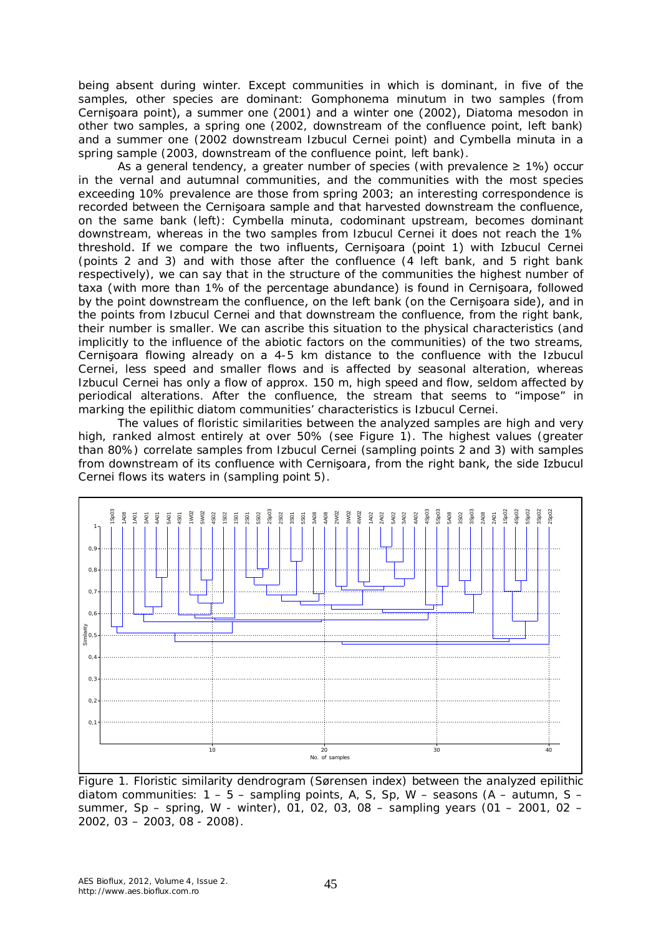being absent during winter. Except communities in which is dominant, in five of the samples, other species are dominant: *Gomphonema minutum* in two samples (from Cernişoara point), a summer one (2001) and a winter one (2002), *Diatoma mesodon* in other two samples, a spring one (2002, downstream of the confluence point, left bank) and a summer one (2002 downstream Izbucul Cernei point) and *Cymbella minuta* in a spring sample (2003, downstream of the confluence point, left bank).

As a general tendency, a greater number of species (with prevalence  $\geq 1\%$ ) occur in the vernal and autumnal communities, and the communities with the most species exceeding 10% prevalence are those from spring 2003; an interesting correspondence is recorded between the Cernişoara sample and that harvested downstream the confluence, on the same bank (left): *Cymbella minuta*, codominant upstream, becomes dominant downstream, whereas in the two samples from Izbucul Cernei it does not reach the 1% threshold. If we compare the two influents, Cernişoara (point 1) with Izbucul Cernei (points 2 and 3) and with those after the confluence (4 left bank, and 5 right bank respectively), we can say that in the structure of the communities the highest number of taxa (with more than 1% of the percentage abundance) is found in Cernişoara, followed by the point downstream the confluence, on the left bank (on the Cernişoara side), and in the points from Izbucul Cernei and that downstream the confluence, from the right bank, their number is smaller. We can ascribe this situation to the physical characteristics (and implicitly to the influence of the abiotic factors on the communities) of the two streams, Cernişoara flowing already on a 4-5 km distance to the confluence with the Izbucul Cernei, less speed and smaller flows and is affected by seasonal alteration, whereas Izbucul Cernei has only a flow of approx. 150 m, high speed and flow, seldom affected by periodical alterations. After the confluence, the stream that seems to "impose" in marking the epilithic diatom communities' characteristics is Izbucul Cernei.

The values of floristic similarities between the analyzed samples are high and very high, ranked almost entirely at over 50% (see Figure 1). The highest values (greater than 80%) correlate samples from Izbucul Cernei (sampling points 2 and 3) with samples from downstream of its confluence with Cernişoara, from the right bank, the side Izbucul Cernei flows its waters in (sampling point 5).



Figure 1. Floristic similarity dendrogram (Sørensen index) between the analyzed epilithic diatom communities:  $1 - 5 -$  sampling points, A, S, Sp, W – seasons (A – autumn, S – summer, Sp – spring, W - winter), 01, 02, 03, 08 – sampling years (01 – 2001, 02 – 2002, 03 – 2003, 08 - 2008).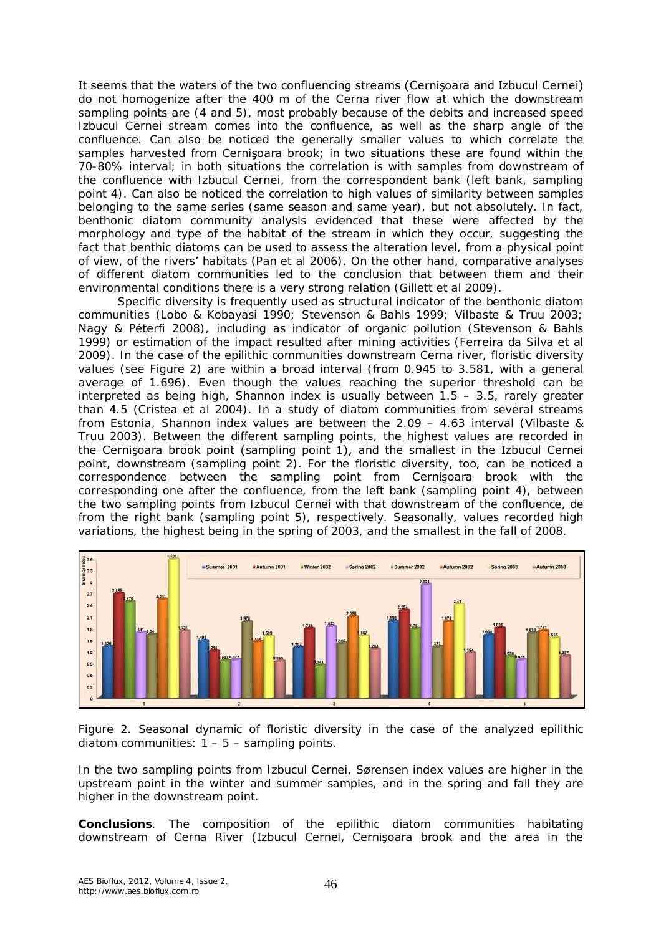It seems that the waters of the two confluencing streams (Cernişoara and Izbucul Cernei) do not homogenize after the 400 m of the Cerna river flow at which the downstream sampling points are (4 and 5), most probably because of the debits and increased speed Izbucul Cernei stream comes into the confluence, as well as the sharp angle of the confluence. Can also be noticed the generally smaller values to which correlate the samples harvested from Cernişoara brook; in two situations these are found within the 70-80% interval; in both situations the correlation is with samples from downstream of the confluence with Izbucul Cernei, from the correspondent bank (left bank, sampling point 4). Can also be noticed the correlation to high values of similarity between samples belonging to the same series (same season and same year), but not absolutely. In fact, benthonic diatom community analysis evidenced that these were affected by the morphology and type of the habitat of the stream in which they occur, suggesting the fact that benthic diatoms can be used to assess the alteration level, from a physical point of view, of the rivers' habitats (Pan et al 2006). On the other hand, comparative analyses of different diatom communities led to the conclusion that between them and their environmental conditions there is a very strong relation (Gillett et al 2009).

Specific diversity is frequently used as structural indicator of the benthonic diatom communities (Lobo & Kobayasi 1990; Stevenson & Bahls 1999; Vilbaste & Truu 2003; Nagy & Péterfi 2008), including as indicator of organic pollution (Stevenson & Bahls 1999) or estimation of the impact resulted after mining activities (Ferreira da Silva et al 2009). In the case of the epilithic communities downstream Cerna river, floristic diversity values (see Figure 2) are within a broad interval (from 0.945 to 3.581, with a general average of 1.696). Even though the values reaching the superior threshold can be interpreted as being high, Shannon index is usually between  $1.5 - 3.5$ , rarely greater than 4.5 (Cristea et al 2004). In a study of diatom communities from several streams from Estonia, Shannon index values are between the 2.09 – 4.63 interval (Vilbaste & Truu 2003). Between the different sampling points, the highest values are recorded in the Cernişoara brook point (sampling point 1), and the smallest in the Izbucul Cernei point, downstream (sampling point 2). For the floristic diversity, too, can be noticed a correspondence between the sampling point from Cernişoara brook with the corresponding one after the confluence, from the left bank (sampling point 4), between the two sampling points from Izbucul Cernei with that downstream of the confluence, de from the right bank (sampling point 5), respectively. Seasonally, values recorded high variations, the highest being in the spring of 2003, and the smallest in the fall of 2008.



Figure 2. Seasonal dynamic of floristic diversity in the case of the analyzed epilithic diatom communities:  $1 - 5 -$  sampling points.

In the two sampling points from Izbucul Cernei, Sørensen index values are higher in the upstream point in the winter and summer samples, and in the spring and fall they are higher in the downstream point.

**Conclusions**. The composition of the epilithic diatom communities habitating downstream of Cerna River (Izbucul Cernei, Cernişoara brook and the area in the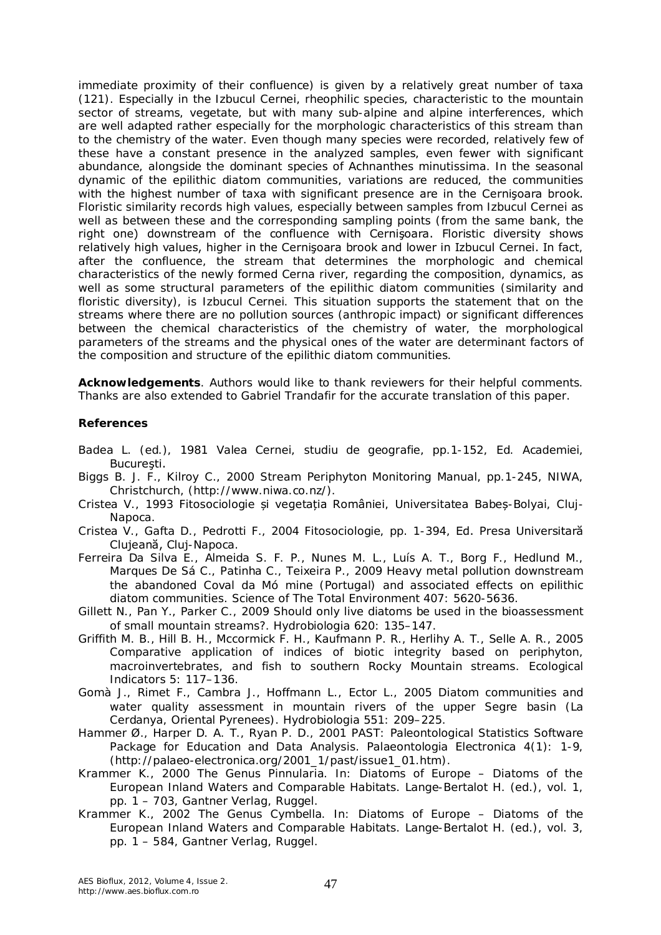immediate proximity of their confluence) is given by a relatively great number of taxa (121). Especially in the Izbucul Cernei, rheophilic species, characteristic to the mountain sector of streams, vegetate, but with many sub-alpine and alpine interferences, which are well adapted rather especially for the morphologic characteristics of this stream than to the chemistry of the water. Even though many species were recorded, relatively few of these have a constant presence in the analyzed samples, even fewer with significant abundance, alongside the dominant species of *Achnanthes minutissima*. In the seasonal dynamic of the epilithic diatom communities, variations are reduced, the communities with the highest number of taxa with significant presence are in the Cernişoara brook. Floristic similarity records high values, especially between samples from Izbucul Cernei as well as between these and the corresponding sampling points (from the same bank, the right one) downstream of the confluence with Cernişoara. Floristic diversity shows relatively high values, higher in the Cernişoara brook and lower in Izbucul Cernei. In fact, after the confluence, the stream that determines the morphologic and chemical characteristics of the newly formed Cerna river, regarding the composition, dynamics, as well as some structural parameters of the epilithic diatom communities (similarity and floristic diversity), is Izbucul Cernei. This situation supports the statement that on the streams where there are no pollution sources (anthropic impact) or significant differences between the chemical characteristics of the chemistry of water, the morphological parameters of the streams and the physical ones of the water are determinant factors of the composition and structure of the epilithic diatom communities.

**Acknowledgements**. Authors would like to thank reviewers for their helpful comments. Thanks are also extended to Gabriel Trandafir for the accurate translation of this paper.

#### **References**

- Badea L. (ed.), 1981 Valea Cernei, studiu de geografie, pp.1-152, Ed. Academiei, București.
- Biggs B. J. F., Kilroy C., 2000 Stream Periphyton Monitoring Manual, pp.1-245, NIWA, Christchurch, (http://www.niwa.co.nz/).
- Cristea V., 1993 Fitosociologie și vegetația României, Universitatea Babeș-Bolyai, Cluj-Napoca.
- Cristea V., Gafta D., Pedrotti F., 2004 Fitosociologie, pp. 1-394, Ed. Presa Universitară Clujeană, Cluj-Napoca.
- Ferreira Da Silva E., Almeida S. F. P., Nunes M. L., Luís A. T., Borg F., Hedlund M., Marques De Sá C., Patinha C., Teixeira P., 2009 Heavy metal pollution downstream the abandoned Coval da Mó mine (Portugal) and associated effects on epilithic diatom communities. Science of The Total Environment 407: 5620-5636.
- Gillett N., Pan Y., Parker C., 2009 Should only live diatoms be used in the bioassessment of small mountain streams?. Hydrobiologia 620: 135–147.
- Griffith M. B., Hill B. H., Mccormick F. H., Kaufmann P. R., Herlihy A. T., Selle A. R., 2005 Comparative application of indices of biotic integrity based on periphyton, macroinvertebrates, and fish to southern Rocky Mountain streams. Ecological Indicators 5: 117–136.
- Gomà J., Rimet F., Cambra J., Hoffmann L., Ector L., 2005 Diatom communities and water quality assessment in mountain rivers of the upper Segre basin (La Cerdanya, Oriental Pyrenees). Hydrobiologia 551: 209–225.
- Hammer Ø., Harper D. A. T., Ryan P. D., 2001 PAST: Paleontological Statistics Software Package for Education and Data Analysis. Palaeontologia Electronica 4(1): 1-9, (http://palaeo-electronica.org/2001\_1/past/issue1\_01.htm).
- Krammer K., 2000 The Genus Pinnularia. In: Diatoms of Europe Diatoms of the European Inland Waters and Comparable Habitats. Lange-Bertalot H. (ed.), vol. 1, pp. 1 – 703, Gantner Verlag, Ruggel.
- Krammer K., 2002 The Genus Cymbella. In: Diatoms of Europe Diatoms of the European Inland Waters and Comparable Habitats. Lange-Bertalot H. (ed.), vol. 3, pp. 1 – 584, Gantner Verlag, Ruggel.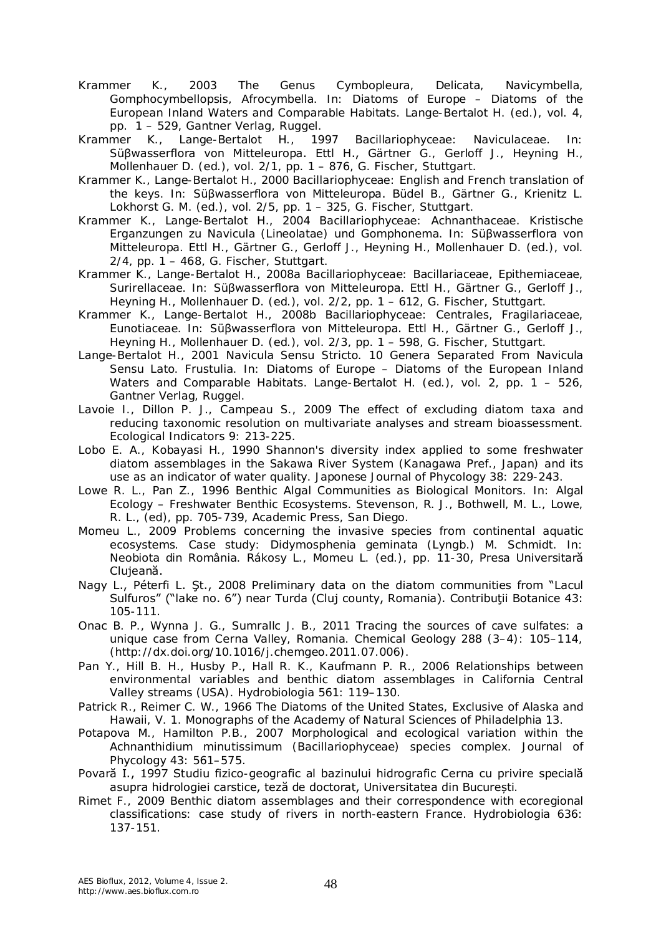- Krammer K., 2003 The Genus Cymbopleura, Delicata, Navicymbella, Gomphocymbellopsis, Afrocymbella. In: Diatoms of Europe – Diatoms of the European Inland Waters and Comparable Habitats. Lange-Bertalot H. (ed.), vol. 4, pp. 1 – 529, Gantner Verlag, Ruggel.
- Krammer K., Lange-Bertalot H., 1997 Bacillariophyceae: Naviculaceae. In: Süβwasserflora von Mitteleuropa. Ettl H., Gärtner G., Gerloff J., Heyning H., Mollenhauer D. (ed.), vol. 2/1, pp. 1 – 876, G. Fischer, Stuttgart.
- Krammer K., Lange-Bertalot H., 2000 Bacillariophyceae: English and French translation of the keys. In: Süβwasserflora von Mitteleuropa. Büdel B., Gärtner G., Krienitz L. Lokhorst G. M. (ed.), vol. 2/5, pp. 1 – 325, G. Fischer, Stuttgart.
- Krammer K., Lange-Bertalot H., 2004 Bacillariophyceae: Achnanthaceae. Kristische Erganzungen zu Navicula (Lineolatae) und Gomphonema. In: Süβwasserflora von Mitteleuropa. Ettl H., Gärtner G., Gerloff J., Heyning H., Mollenhauer D. (ed.), vol. 2/4, pp. 1 – 468, G. Fischer, Stuttgart.
- Krammer K., Lange-Bertalot H., 2008a Bacillariophyceae: Bacillariaceae, Epithemiaceae, Surirellaceae. In: Süβwasserflora von Mitteleuropa. Ettl H., Gärtner G., Gerloff J., Heyning H., Mollenhauer D. (ed.), vol. 2/2, pp. 1 – 612, G. Fischer, Stuttgart.
- Krammer K., Lange-Bertalot H., 2008b Bacillariophyceae: Centrales, Fragilariaceae, Eunotiaceae. In: Süβwasserflora von Mitteleuropa. Ettl H., Gärtner G., Gerloff J., Heyning H., Mollenhauer D. (ed.), vol. 2/3, pp. 1 – 598, G. Fischer, Stuttgart.
- Lange-Bertalot H., 2001 Navicula Sensu Stricto. 10 Genera Separated From Navicula Sensu Lato. Frustulia. In: Diatoms of Europe – Diatoms of the European Inland Waters and Comparable Habitats. Lange-Bertalot H. (ed.), vol. 2, pp. 1 – 526, Gantner Verlag, Ruggel.
- Lavoie I., Dillon P. J., Campeau S., 2009 The effect of excluding diatom taxa and reducing taxonomic resolution on multivariate analyses and stream bioassessment. Ecological Indicators 9: 213-225.
- Lobo E. A., Kobayasi H., 1990 Shannon's diversity index applied to some freshwater diatom assemblages in the Sakawa River System (Kanagawa Pref., Japan) and its use as an indicator of water quality. Japonese Journal of Phycology 38: 229-243.
- Lowe R. L., Pan Z., 1996 Benthic Algal Communities as Biological Monitors. In: Algal Ecology – Freshwater Benthic Ecosystems. Stevenson, R. J., Bothwell, M. L., Lowe, R. L., (ed), pp. 705-739, Academic Press, San Diego.
- Momeu L., 2009 Problems concerning the invasive species from continental aquatic ecosystems. Case study: *Didymosphenia geminata* (Lyngb.) M. Schmidt. In: Neobiota din România. Rákosy L., Momeu L. (ed.), pp. 11-30, Presa Universitară Clujeană.
- Nagy L., Péterfi L. Şt., 2008 Preliminary data on the diatom communities from "Lacul Sulfuros" ("lake no. 6") near Turda (Cluj county, Romania). Contribuţii Botanice 43: 105-111.
- Onac B. P., Wynna J. G., Sumrallc J. B., 2011 Tracing the sources of cave sulfates: a unique case from Cerna Valley, Romania. Chemical Geology 288 (3–4): 105–114, (http://dx.doi.org/10.1016/j.chemgeo.2011.07.006).
- Pan Y., Hill B. H., Husby P., Hall R. K., Kaufmann P. R., 2006 Relationships between environmental variables and benthic diatom assemblages in California Central Valley streams (USA). Hydrobiologia 561: 119–130.
- Patrick R., Reimer C. W., 1966 The Diatoms of the United States, Exclusive of Alaska and Hawaii, V. 1. Monographs of the Academy of Natural Sciences of Philadelphia 13.
- Potapova M., Hamilton P.B., 2007 Morphological and ecological variation within the *Achnanthidium minutissimum* (Bacillariophyceae) species complex. Journal of Phycology 43: 561–575.
- Povară I., 1997 Studiu fizico-geografic al bazinului hidrografic Cerna cu privire specială asupra hidrologiei carstice, teză de doctorat, Universitatea din București.
- Rimet F., 2009 Benthic diatom assemblages and their correspondence with ecoregional classifications: case study of rivers in north-eastern France. Hydrobiologia 636: 137-151.